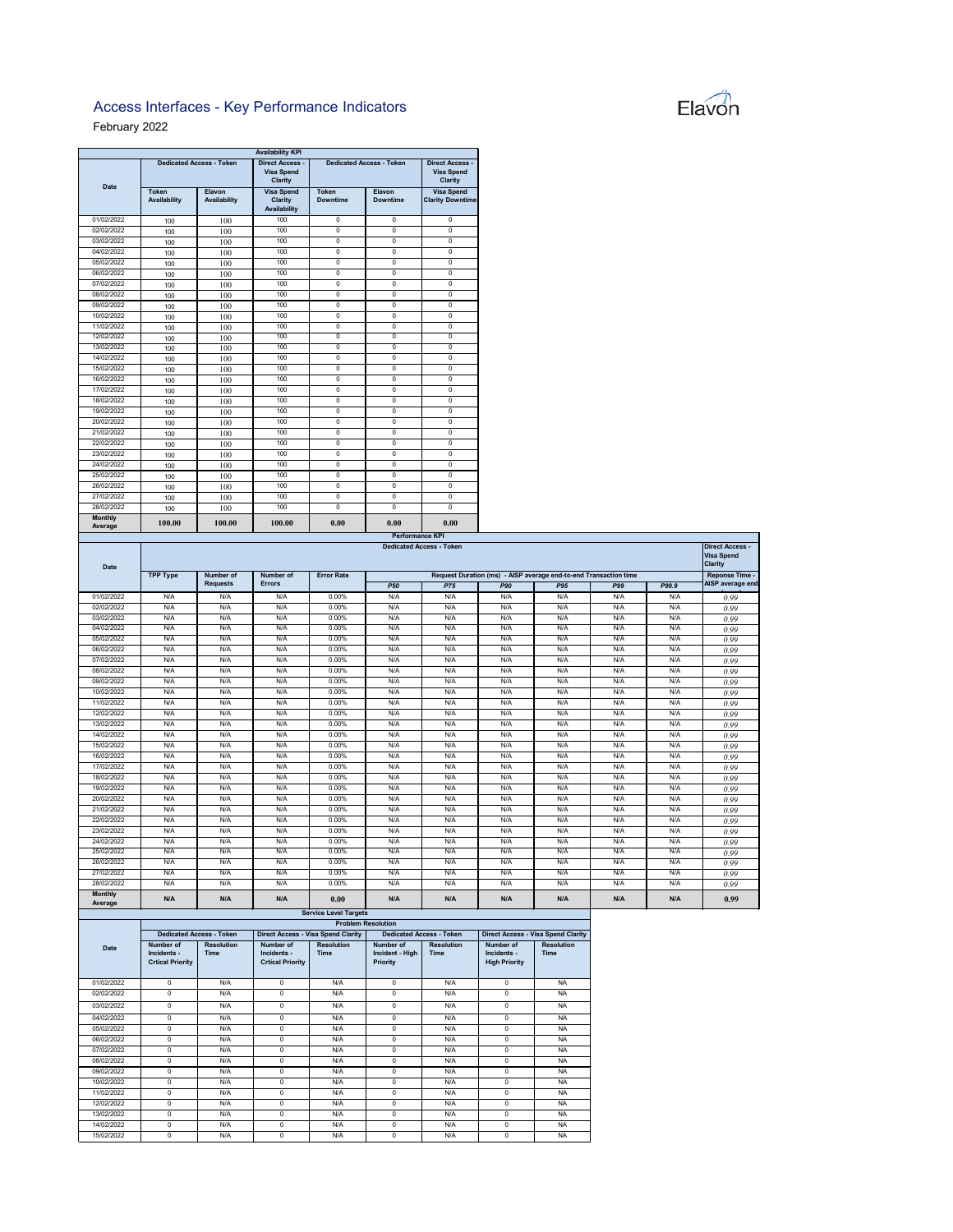## Elavon

nt Started at 07:48 AM and ended at 08:32 AM. Second incident started at

## Access Interfaces - Key Performance Indicators

## February 2022

|                           |                              |                                 | <b>Availability KPI</b>                                       |                                 |                                  |                                                               |     |
|---------------------------|------------------------------|---------------------------------|---------------------------------------------------------------|---------------------------------|----------------------------------|---------------------------------------------------------------|-----|
| <b>Date</b>               |                              | <b>Dedicated Access - Token</b> | <b>Direct Access -</b><br><b>Visa Spend</b><br><b>Clarity</b> |                                 | <b>Dedicated Access - Token</b>  | <b>Direct Access -</b><br><b>Visa Spend</b><br><b>Clarity</b> |     |
|                           | <b>Token</b><br>Availability | <b>Elavon</b><br>Availability   | <b>Visa Spend</b><br><b>Clarity</b><br>Availability           | <b>Token</b><br><b>Downtime</b> | <b>Elavon</b><br><b>Downtime</b> | <b>Visa Spend</b><br><b>Clarity Downtime</b>                  |     |
| 01/02/2022                | 100                          | 100                             | 100                                                           | $\mathbf 0$                     | 0                                | $\mathbf 0$                                                   |     |
| 02/02/2022                | 100                          | 100                             | 100                                                           | $\Omega$                        | $\Omega$                         | $\mathbf 0$                                                   |     |
| 03/02/2022                | 100                          | 100                             | 100                                                           | $\Omega$                        | $\Omega$                         | $\mathbf 0$                                                   |     |
| 04/02/2022                | 100                          | 100                             | 100                                                           | 0                               | 0                                | 0                                                             |     |
| 05/02/2022                | 100                          | 100                             | 100                                                           | $\Omega$                        | $\Omega$                         | $\mathbf 0$                                                   |     |
| 06/02/2022                | 100                          | 100                             | 100                                                           | $\Omega$                        | $\Omega$                         | 0                                                             |     |
| 07/02/2022                | 100                          | 100                             | 100                                                           | $\Omega$                        | $\Omega$                         | $\mathbf 0$                                                   |     |
| 08/02/2022                | 100                          | 100                             | 100                                                           | 0                               | 0                                | $\overline{0}$                                                |     |
| 09/02/2022                | 100                          | 100                             | 100                                                           | 0                               | 0                                | 0                                                             |     |
| 10/02/2022                | 100                          | 100                             | 100                                                           | $\Omega$                        | $\Omega$                         | $\mathbf 0$                                                   |     |
| 11/02/2022                | 100                          | 100                             | 100                                                           | $\Omega$                        | $\Omega$                         | $\mathbf 0$                                                   |     |
| 12/02/2022                | 100                          | 100                             | 100                                                           | $\Omega$                        | $\Omega$                         | $\mathbf 0$                                                   |     |
| 13/02/2022                | 100                          | 100                             | 100                                                           | $\Omega$                        | $\Omega$                         | $\mathbf 0$                                                   |     |
| 14/02/2022                | 100                          | 100                             | 100                                                           | 0                               | 0                                | 0                                                             |     |
| 15/02/2022                | 100                          | 100                             | 100                                                           | $\Omega$                        | 0                                | $\mathbf 0$                                                   |     |
| 16/02/2022                | 100                          | 100                             | 100                                                           | 0                               | 0                                | 0                                                             |     |
| 17/02/2022                | 100                          | 100                             | 100                                                           | $\Omega$                        | $\Omega$                         | $\mathbf 0$                                                   |     |
| 18/02/2022                | 100                          | 100                             | 100                                                           | $\Omega$                        | $\Omega$                         | $\mathbf 0$                                                   |     |
| 19/02/2022                | 100                          | 100                             | 100                                                           | 0                               | $\Omega$                         | 0                                                             |     |
| 20/02/2022                | 100                          | 100                             | 100                                                           | $\Omega$                        | $\Omega$                         | $\mathbf 0$                                                   |     |
| 21/02/2022                | 100                          | 100                             | 100                                                           | $\mathbf 0$                     | 0                                | 0                                                             |     |
| 22/02/2022                | 100                          | 100                             | 100                                                           | $\Omega$                        | 0                                | 0                                                             |     |
| 23/02/2022                | 100                          | 100                             | 100                                                           | $\Omega$                        | $\Omega$                         | $\mathbf 0$                                                   |     |
| 24/02/2022                | 100                          | 100                             | 100                                                           | 0                               | 0                                | 0                                                             |     |
| 25/02/2022                | 100                          | 100                             | 100                                                           | $\Omega$                        | $\Omega$                         | $\mathbf 0$                                                   |     |
| 26/02/2022                | 100                          | 100                             | 100                                                           | 0                               | 0                                | 0                                                             |     |
| 27/02/2022                | 100                          | 100                             | 100                                                           | 0                               | 0                                | 0                                                             |     |
| 28/02/2022                | 100                          | 100                             | 100                                                           | $\mathbf 0$                     | 0                                | $\mathbf 0$                                                   |     |
| <b>Monthly</b><br>Average | 100.00                       | 100.00                          | 100.00                                                        | 0.00                            | 0.00                             | 0.00                                                          |     |
|                           |                              |                                 |                                                               |                                 |                                  | <b>Performance KPI</b>                                        |     |
| <b>Date</b>               |                              |                                 |                                                               |                                 |                                  | <b>Dedicated Access - Token</b>                               |     |
|                           | <b>TPP Type</b>              | Number of                       | Number of                                                     | <b>Error Rate</b>               |                                  | <b>Request Duration (ms) - /</b>                              |     |
|                           |                              | <b>Requests</b>                 | <b>Errors</b>                                                 |                                 | <b>P50</b>                       | <b>P75</b>                                                    | P90 |
| 01/02/2022                | N/A                          | N/A                             | N/A                                                           | $0.00\%$                        | N/A                              | N/A                                                           | N/L |

| <b>Date</b>               | <b>Dedicated Access - Token</b>     |                 |               |                   |                                                                  |            |            |            | <b>Direct Access -</b><br><b>Visa Spend</b><br><b>Clarity</b> |       |                  |
|---------------------------|-------------------------------------|-----------------|---------------|-------------------|------------------------------------------------------------------|------------|------------|------------|---------------------------------------------------------------|-------|------------------|
|                           | <b>TPP Type</b><br><b>Number of</b> |                 | Number of     | <b>Error Rate</b> | Request Duration (ms) - AISP average end-to-end Transaction time |            |            |            |                                                               |       |                  |
|                           |                                     | <b>Requests</b> | <b>Errors</b> |                   | <b>P50</b>                                                       | <b>P75</b> | <b>P90</b> | <b>P95</b> | P99                                                           | P99.9 | AISP average end |
| 01/02/2022                | N/A                                 | N/A             | N/A           | 0.00%             | N/A                                                              | N/A        | N/A        | N/A        | N/A                                                           | N/A   | 0.99             |
| 02/02/2022                | N/A                                 | N/A             | N/A           | 0.00%             | N/A                                                              | N/A        | N/A        | N/A        | N/A                                                           | N/A   | 0.99             |
| 03/02/2022                | N/A                                 | N/A             | N/A           | 0.00%             | N/A                                                              | N/A        | N/A        | N/A        | N/A                                                           | N/A   | 0.99             |
| 04/02/2022                | N/A                                 | N/A             | N/A           | 0.00%             | N/A                                                              | N/A        | N/A        | N/A        | N/A                                                           | N/A   | 0.99             |
| 05/02/2022                | N/A                                 | N/A             | N/A           | 0.00%             | N/A                                                              | N/A        | N/A        | N/A        | N/A                                                           | N/A   | 0.99             |
| 06/02/2022                | N/A                                 | N/A             | N/A           | 0.00%             | N/A                                                              | N/A        | N/A        | N/A        | N/A                                                           | N/A   | 0.99             |
| 07/02/2022                | N/A                                 | N/A             | N/A           | 0.00%             | N/A                                                              | N/A        | N/A        | N/A        | N/A                                                           | N/A   | 0.99             |
| 08/02/2022                | N/A                                 | N/A             | N/A           | 0.00%             | N/A                                                              | N/A        | N/A        | N/A        | N/A                                                           | N/A   | 0.99             |
| 09/02/2022                | N/A                                 | N/A             | N/A           | 0.00%             | N/A                                                              | N/A        | N/A        | N/A        | N/A                                                           | N/A   | 0.99             |
| 10/02/2022                | N/A                                 | N/A             | N/A           | 0.00%             | N/A                                                              | N/A        | N/A        | N/A        | N/A                                                           | N/A   | 0.99             |
| 11/02/2022                | N/A                                 | N/A             | N/A           | 0.00%             | N/A                                                              | N/A        | N/A        | N/A        | N/A                                                           | N/A   | 0.99             |
| 12/02/2022                | N/A                                 | N/A             | N/A           | 0.00%             | N/A                                                              | N/A        | N/A        | N/A        | N/A                                                           | N/A   | 0.99             |
| 13/02/2022                | N/A                                 | N/A             | N/A           | 0.00%             | N/A                                                              | N/A        | N/A        | N/A        | N/A                                                           | N/A   | 0.99             |
| 14/02/2022                | N/A                                 | N/A             | N/A           | 0.00%             | N/A                                                              | N/A        | N/A        | N/A        | N/A                                                           | N/A   | 0.99             |
| 15/02/2022                | N/A                                 | N/A             | N/A           | 0.00%             | N/A                                                              | N/A        | N/A        | N/A        | N/A                                                           | N/A   | 0.99             |
| 16/02/2022                | N/A                                 | N/A             | N/A           | 0.00%             | N/A                                                              | N/A        | N/A        | N/A        | N/A                                                           | N/A   | 0.99             |
| 17/02/2022                | N/A                                 | N/A             | N/A           | 0.00%             | N/A                                                              | N/A        | N/A        | N/A        | N/A                                                           | N/A   | 0.99             |
| 18/02/2022                | N/A                                 | N/A             | N/A           | 0.00%             | N/A                                                              | N/A        | N/A        | N/A        | N/A                                                           | N/A   | 0.99             |
| 19/02/2022                | N/A                                 | N/A             | N/A           | 0.00%             | N/A                                                              | N/A        | N/A        | N/A        | N/A                                                           | N/A   | 0.99             |
| 20/02/2022                | N/A                                 | N/A             | N/A           | 0.00%             | N/A                                                              | N/A        | N/A        | N/A        | N/A                                                           | N/A   | 0.99             |
| 21/02/2022                | N/A                                 | N/A             | N/A           | 0.00%             | N/A                                                              | N/A        | N/A        | N/A        | N/A                                                           | N/A   | 0.99             |
| 22/02/2022                | N/A                                 | N/A             | N/A           | 0.00%             | N/A                                                              | N/A        | N/A        | N/A        | N/A                                                           | N/A   | 0.99             |
| 23/02/2022                | N/A                                 | N/A             | N/A           | 0.00%             | N/A                                                              | N/A        | N/A        | N/A        | N/A                                                           | N/A   | 0.99             |
| 24/02/2022                | N/A                                 | N/A             | N/A           | 0.00%             | N/A                                                              | N/A        | N/A        | N/A        | N/A                                                           | N/A   | 0.99             |
| 25/02/2022                | N/A                                 | N/A             | N/A           | 0.00%             | N/A                                                              | N/A        | N/A        | N/A        | N/A                                                           | N/A   | 0.99             |
| 26/02/2022                | N/A                                 | N/A             | N/A           | 0.00%             | N/A                                                              | N/A        | N/A        | N/A        | N/A                                                           | N/A   | 0.99             |
| 27/02/2022                | N/A                                 | N/A             | N/A           | 0.00%             | N/A                                                              | N/A        | N/A        | N/A        | N/A                                                           | N/A   | 0.99             |
| 28/02/2022                | N/A                                 | N/A             | N/A           | 0.00%             | N/A                                                              | N/A        | N/A        | N/A        | N/A                                                           | N/A   | 0.99             |
| <b>Monthly</b><br>Average | N/A                                 | N/A             | N/A           | 0.00              | N/A                                                              | N/A        | N/A        | N/A        | N/A                                                           | N/A   | 0.99             |

## **Service Level Targets**

|             | <b>Problem Resolution</b>                           |                                  |                                                     |                                           |                                                 |                                  |                                                  |                                  |  |  |
|-------------|-----------------------------------------------------|----------------------------------|-----------------------------------------------------|-------------------------------------------|-------------------------------------------------|----------------------------------|--------------------------------------------------|----------------------------------|--|--|
|             |                                                     | <b>Dedicated Access - Token</b>  |                                                     | <b>Direct Access - Visa Spend Clarity</b> |                                                 | <b>Dedicated Access - Token</b>  | <b>Direct Access - Visa Spend Clarity</b>        |                                  |  |  |
| <b>Date</b> | Number of<br>Incidents -<br><b>Crtical Priority</b> | <b>Resolution</b><br><b>Time</b> | Number of<br>Incidents -<br><b>Crtical Priority</b> | <b>Resolution</b><br><b>Time</b>          | Number of<br>Incident - High<br><b>Priority</b> | <b>Resolution</b><br><b>Time</b> | Number of<br>Incidents -<br><b>High Priority</b> | <b>Resolution</b><br><b>Time</b> |  |  |
| 01/02/2022  | $\Omega$                                            | N/A                              | $\mathbf 0$                                         | N/A                                       | $\mathbf 0$                                     | N/A                              | $\Omega$                                         | <b>NA</b>                        |  |  |
| 02/02/2022  | $\Omega$                                            | N/A                              | $\mathbf 0$                                         | N/A                                       | 0                                               | N/A                              | 0                                                | <b>NA</b>                        |  |  |
| 03/02/2022  | 0                                                   | N/A                              | 0                                                   | N/A                                       | 0                                               | N/A                              | $\Omega$                                         | <b>NA</b>                        |  |  |
| 04/02/2022  | $\Omega$                                            | N/A                              | $\mathbf 0$                                         | N/A                                       | 0                                               | N/A                              | $\Omega$                                         | <b>NA</b>                        |  |  |
| 05/02/2022  | $\mathbf 0$                                         | N/A                              | 0                                                   | N/A                                       | 0                                               | N/A                              | 0                                                | <b>NA</b>                        |  |  |
| 06/02/2022  | $\Omega$                                            | N/A                              | $\Omega$                                            | N/A                                       | 0                                               | N/A                              | $\Omega$                                         | <b>NA</b>                        |  |  |
| 07/02/2022  | $\Omega$                                            | N/A                              | $\Omega$                                            | N/A                                       | $\Omega$                                        | N/A                              | $\Omega$                                         | <b>NA</b>                        |  |  |
| 08/02/2022  | $\mathbf 0$                                         | N/A                              | $\mathbf 0$                                         | N/A                                       | 0                                               | N/A                              | 0                                                | <b>NA</b>                        |  |  |
| 09/02/2022  | $\Omega$                                            | N/A                              | $\Omega$                                            | N/A                                       | $\mathbf{0}$                                    | N/A                              | $\Omega$                                         | <b>NA</b>                        |  |  |
| 10/02/2022  | $\Omega$                                            | N/A                              | 0                                                   | N/A                                       | 0                                               | N/A                              | $\Omega$                                         | <b>NA</b>                        |  |  |
| 11/02/2022  | $\Omega$                                            | N/A                              | $\Omega$                                            | N/A                                       | $\mathbf{0}$                                    | N/A                              | 0                                                | <b>NA</b>                        |  |  |
| 12/02/2022  | $\Omega$                                            | N/A                              | $\mathbf 0$                                         | N/A                                       | $\mathbf 0$                                     | N/A                              | $\Omega$                                         | <b>NA</b>                        |  |  |
| 13/02/2022  | $\Omega$                                            | N/A                              | 0                                                   | N/A                                       | 0                                               | N/A                              | $\Omega$                                         | <b>NA</b>                        |  |  |
| 14/02/2022  | 0                                                   | N/A                              | 0                                                   | N/A                                       | 0                                               | N/A                              | $\Omega$                                         | <b>NA</b>                        |  |  |
| 15/02/2022  | $\Omega$                                            | N/A                              | $\Omega$                                            | N/A                                       | $\mathbf 0$                                     | N/A                              | $\Omega$                                         | <b>NA</b>                        |  |  |